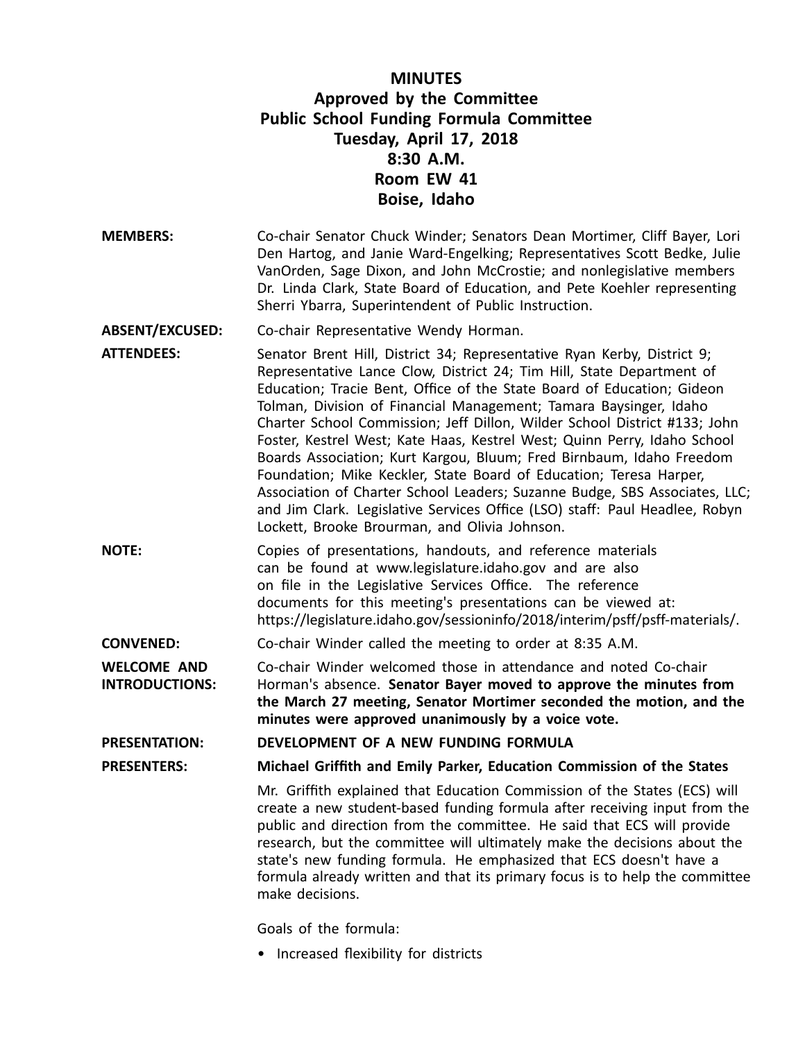# **MINUTES Approved by the Committee Public School Funding Formula Committee Tuesday, April 17, 2018 8:30 A.M. Room EW 41 Boise, Idaho**

- **MEMBERS:** Co-chair Senator Chuck Winder; Senators Dean Mortimer, Cliff Bayer, Lori Den Hartog, and Janie Ward-Engelking; Representatives Scott Bedke, Julie VanOrden, Sage Dixon, and John McCrostie; and nonlegislative members Dr. Linda Clark, State Board of Education, and Pete Koehler representing Sherri Ybarra, Superintendent of Public Instruction.
- **ABSENT/EXCUSED:** Co-chair Representative Wendy Horman.

**ATTENDEES:** Senator Brent Hill, District 34; Representative Ryan Kerby, District 9; Representative Lance Clow, District 24; Tim Hill, State Department of Education; Tracie Bent, Office of the State Board of Education; Gideon Tolman, Division of Financial Management; Tamara Baysinger, Idaho Charter School Commission; Jeff Dillon, Wilder School District #133; John Foster, Kestrel West; Kate Haas, Kestrel West; Quinn Perry, Idaho School Boards Association; Kurt Kargou, Bluum; Fred Birnbaum, Idaho Freedom Foundation; Mike Keckler, State Board of Education; Teresa Harper, Association of Charter School Leaders; Suzanne Budge, SBS Associates, LLC; and Jim Clark. Legislative Services Office (LSO) staff: Paul Headlee, Robyn Lockett, Brooke Brourman, and Olivia Johnson.

**NOTE:** Copies of presentations, handouts, and reference materials can be found at www.legislature.idaho.gov and are also on file in the Legislative Services Office. The reference documents for this meeting's presentations can be viewed at: https://legislature.idaho.gov/sessioninfo/2018/interim/psff/psff-materials/.

**CONVENED:** Co-chair Winder called the meeting to order at 8:35 A.M.

**WELCOME AND INTRODUCTIONS:** Co-chair Winder welcomed those in attendance and noted Co-chair Horman's absence. **Senator Bayer moved to approve the minutes from the March 27 meeting, Senator Mortimer seconded the motion, and the minutes were approved unanimously by <sup>a</sup> voice vote.**

**PRESENTATION: DEVELOPMENT OF A NEW FUNDING FORMULA**

**PRESENTERS: Michael Griffith and Emily Parker, Education Commission of the States**

Mr. Griffith explained that Education Commission of the States (ECS) will create <sup>a</sup> new student-based funding formula after receiving input from the public and direction from the committee. He said that ECS will provide research, but the committee will ultimately make the decisions about the state's new funding formula. He emphasized that ECS doesn't have <sup>a</sup> formula already written and that its primary focus is to help the committee make decisions.

Goals of the formula:

• Increased flexibility for districts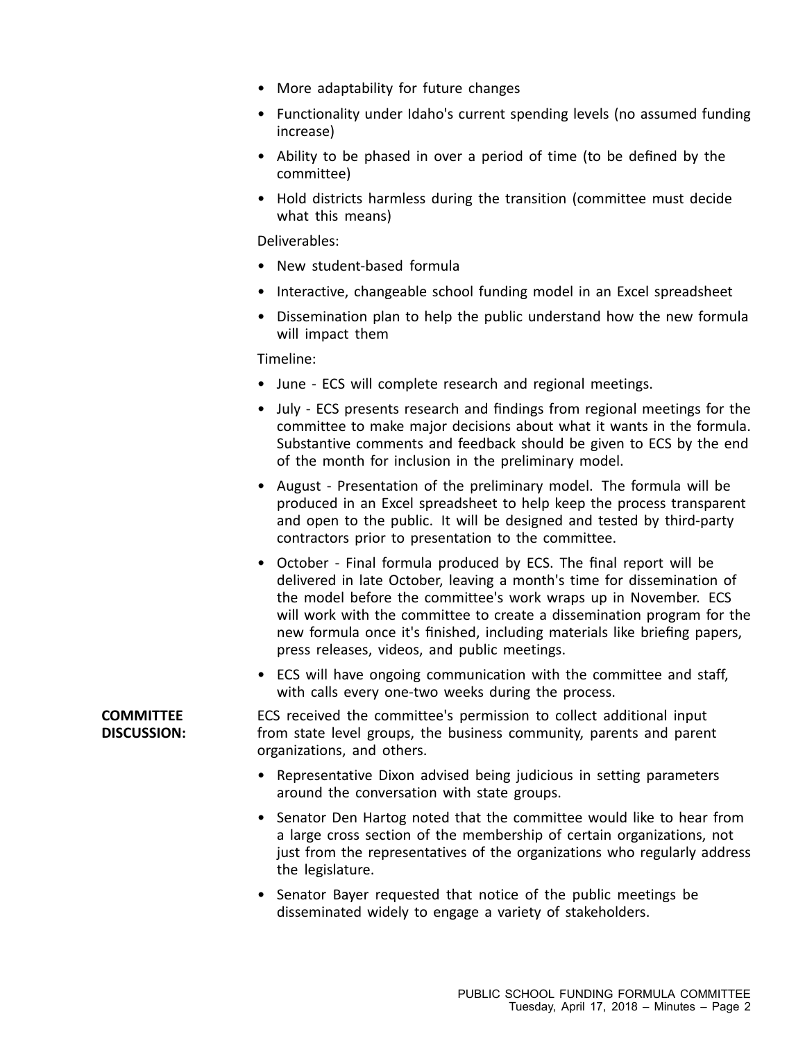- More adaptability for future changes
- Functionality under Idaho's current spending levels (no assumed funding increase)
- Ability to be phased in over <sup>a</sup> period of time (to be defined by the committee)
- Hold districts harmless during the transition (committee must decide what this means)

Deliverables:

- New student-based formula
- Interactive, changeable school funding model in an Excel spreadsheet
- • Dissemination plan to help the public understand how the new formula will impact them

Timeline:

- June ECS will complete research and regional meetings.
- July ECS presents research and findings from regional meetings for the committee to make major decisions about what it wants in the formula. Substantive comments and feedback should be given to ECS by the end of the month for inclusion in the preliminary model.
- August Presentation of the preliminary model. The formula will be produced in an Excel spreadsheet to help keep the process transparent and open to the public. It will be designed and tested by third-party contractors prior to presentation to the committee.
- October Final formula produced by ECS. The final report will be delivered in late October, leaving <sup>a</sup> month's time for dissemination of the model before the committee's work wraps up in November. ECS will work with the committee to create <sup>a</sup> dissemination program for the new formula once it's finished, including materials like briefing papers, press releases, videos, and public meetings.
- ECS will have ongoing communication with the committee and staff, with calls every one-two weeks during the process.

ECS received the committee's permission to collect additional input from state level groups, the business community, parents and parent organizations, and others.

- • Representative Dixon advised being judicious in setting parameters around the conversation with state groups.
- Senator Den Hartog noted that the committee would like to hear from <sup>a</sup> large cross section of the membership of certain organizations, not just from the representatives of the organizations who regularly address the legislature.
- Senator Bayer requested that notice of the public meetings be disseminated widely to engage <sup>a</sup> variety of stakeholders.

**COMMITTEE DISCUSSION:**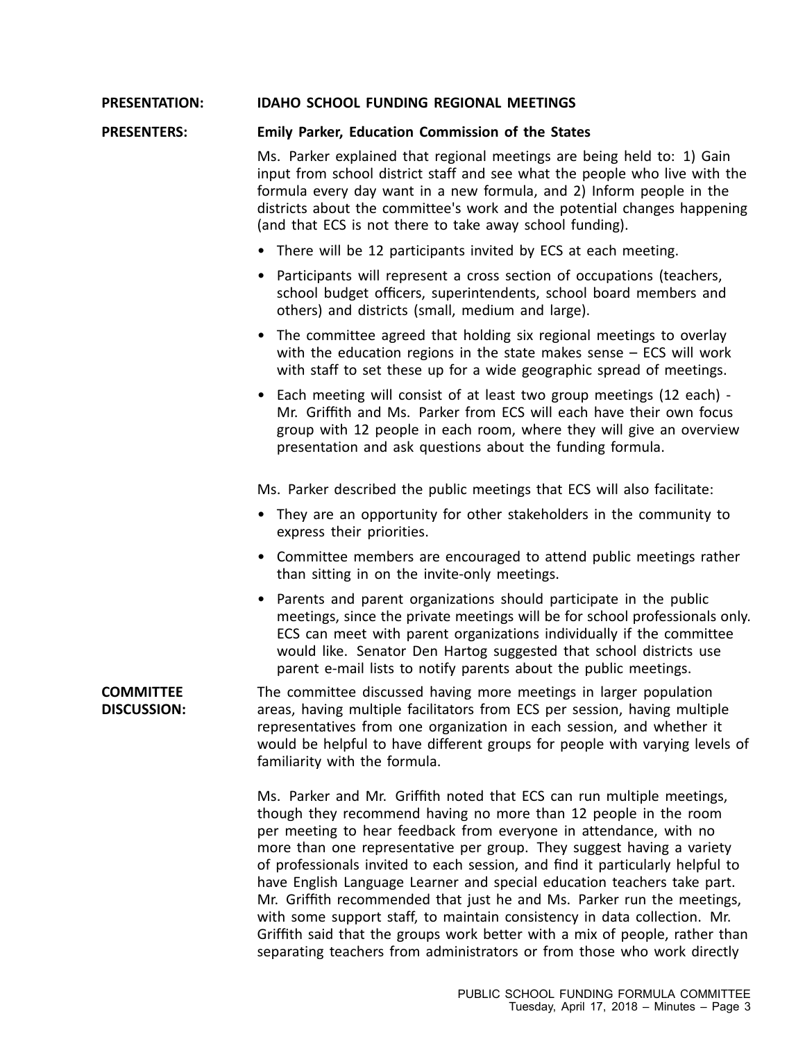## **PRESENTATION: IDAHO SCHOOL FUNDING REGIONAL MEETINGS**

#### **PRESENTERS: Emily Parker, Education Commission of the States**

Ms. Parker explained that regional meetings are being held to: 1) Gain input from school district staff and see what the people who live with the formula every day want in <sup>a</sup> new formula, and 2) Inform people in the districts about the committee's work and the potential changes happening (and that ECS is not there to take away school funding).

- There will be 12 participants invited by ECS at each meeting.
- • Participants will represent <sup>a</sup> cross section of occupations (teachers, school budget officers, superintendents, school board members and others) and districts (small, medium and large).
- The committee agreed that holding six regional meetings to overlay with the education regions in the state makes sense – ECS will work with staff to set these up for <sup>a</sup> wide geographic spread of meetings.
- • Each meeting will consist of at least two group meetings (12 each) - Mr. Griffith and Ms. Parker from ECS will each have their own focus group with 12 people in each room, where they will give an overview presentation and ask questions about the funding formula.

Ms. Parker described the public meetings that ECS will also facilitate:

- They are an opportunity for other stakeholders in the community to express their priorities.
- Committee members are encouraged to attend public meetings rather than sitting in on the invite-only meetings.
- Parents and parent organizations should participate in the public meetings, since the private meetings will be for school professionals only. ECS can meet with parent organizations individually if the committee would like. Senator Den Hartog suggested that school districts use parent e-mail lists to notify parents about the public meetings.

**COMMITTEE DISCUSSION:** The committee discussed having more meetings in larger population areas, having multiple facilitators from ECS per session, having multiple representatives from one organization in each session, and whether it would be helpful to have different groups for people with varying levels of familiarity with the formula.

> Ms. Parker and Mr. Griffith noted that ECS can run multiple meetings, though they recommend having no more than 12 people in the room per meeting to hear feedback from everyone in attendance, with no more than one representative per group. They suggest having <sup>a</sup> variety of professionals invited to each session, and find it particularly helpful to have English Language Learner and special education teachers take part. Mr. Griffith recommended that just he and Ms. Parker run the meetings, with some support staff, to maintain consistency in data collection. Mr. Griffith said that the groups work better with <sup>a</sup> mix of people, rather than separating teachers from administrators or from those who work directly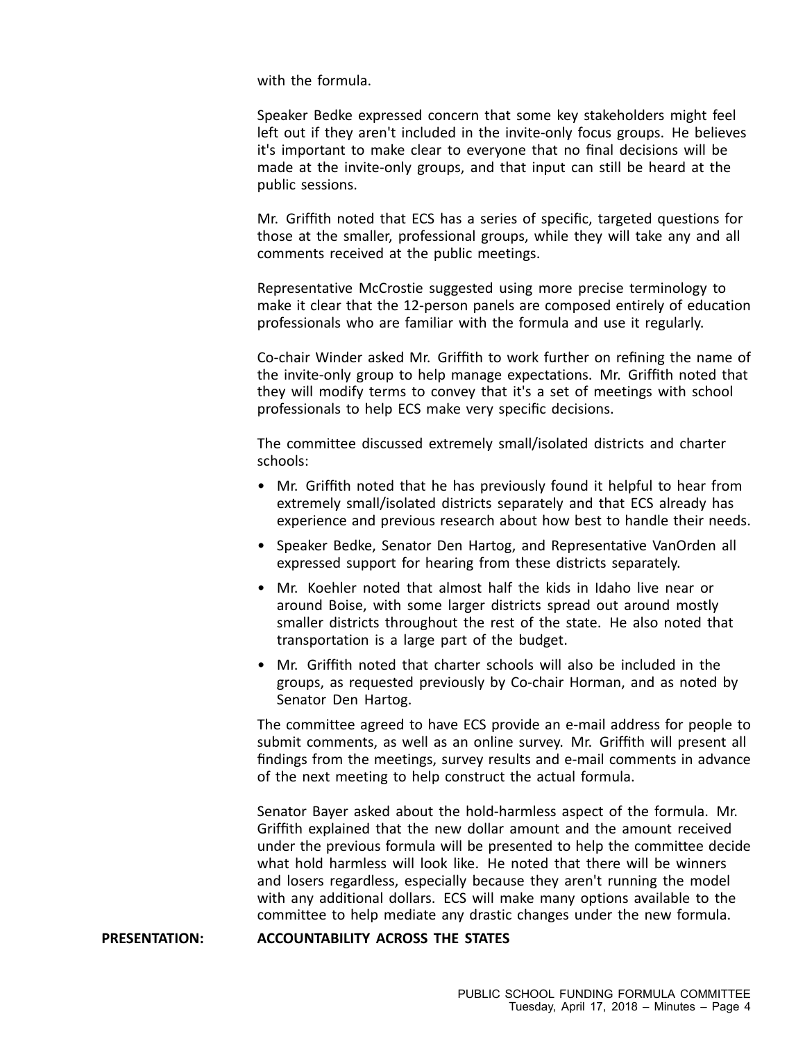with the formula.

Speaker Bedke expressed concern that some key stakeholders might feel left out if they aren't included in the invite-only focus groups. He believes it's important to make clear to everyone that no final decisions will be made at the invite-only groups, and that input can still be heard at the public sessions.

Mr. Griffith noted that ECS has <sup>a</sup> series of specific, targeted questions for those at the smaller, professional groups, while they will take any and all comments received at the public meetings.

Representative McCrostie suggested using more precise terminology to make it clear that the 12-person panels are composed entirely of education professionals who are familiar with the formula and use it regularly.

Co-chair Winder asked Mr. Griffith to work further on refining the name of the invite-only group to help manage expectations. Mr. Griffith noted that they will modify terms to convey that it's <sup>a</sup> set of meetings with school professionals to help ECS make very specific decisions.

The committee discussed extremely small/isolated districts and charter schools:

- Mr. Griffith noted that he has previously found it helpful to hear from extremely small/isolated districts separately and that ECS already has experience and previous research about how best to handle their needs.
- Speaker Bedke, Senator Den Hartog, and Representative VanOrden all expressed support for hearing from these districts separately.
- Mr. Koehler noted that almost half the kids in Idaho live near or around Boise, with some larger districts spread out around mostly smaller districts throughout the rest of the state. He also noted that transportation is <sup>a</sup> large part of the budget.
- Mr. Griffith noted that charter schools will also be included in the groups, as requested previously by Co-chair Horman, and as noted by Senator Den Hartog.

The committee agreed to have ECS provide an e-mail address for people to submit comments, as well as an online survey. Mr. Griffith will present all findings from the meetings, survey results and e-mail comments in advance of the next meeting to help construct the actual formula.

Senator Bayer asked about the hold-harmless aspect of the formula. Mr. Griffith explained that the new dollar amount and the amount received under the previous formula will be presented to help the committee decide what hold harmless will look like. He noted that there will be winners and losers regardless, especially because they aren't running the model with any additional dollars. ECS will make many options available to the committee to help mediate any drastic changes under the new formula.

## **PRESENTATION: ACCOUNTABILITY ACROSS THE STATES**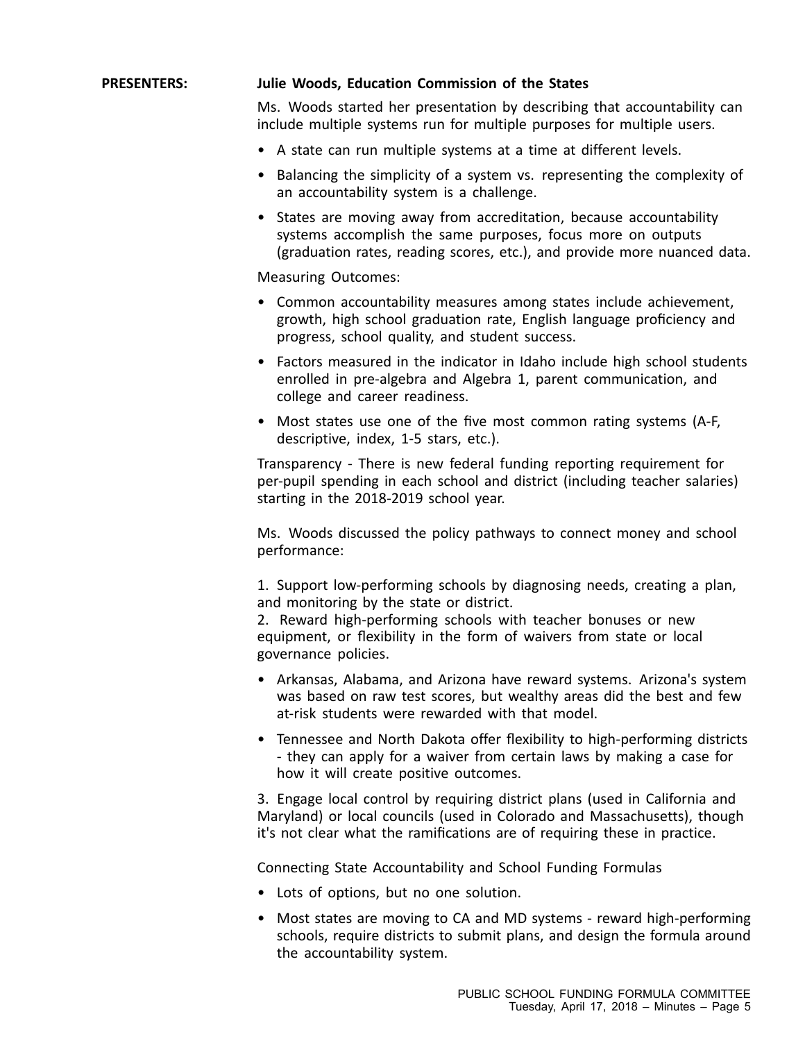# **PRESENTERS: Julie Woods, Education Commission of the States**

Ms. Woods started her presentation by describing that accountability can include multiple systems run for multiple purposes for multiple users.

- A state can run multiple systems at <sup>a</sup> time at different levels.
- • Balancing the simplicity of <sup>a</sup> system vs. representing the complexity of an accountability system is <sup>a</sup> challenge.
- States are moving away from accreditation, because accountability systems accomplish the same purposes, focus more on outputs (graduation rates, reading scores, etc.), and provide more nuanced data.

Measuring Outcomes:

- Common accountability measures among states include achievement, growth, high school graduation rate, English language proficiency and progress, school quality, and student success.
- Factors measured in the indicator in Idaho include high school students enrolled in pre-algebra and Algebra 1, parent communication, and college and career readiness.
- Most states use one of the five most common rating systems (A-F, descriptive, index, 1-5 stars, etc.).

Transparency - There is new federal funding reporting requirement for per-pupil spending in each school and district (including teacher salaries) starting in the 2018-2019 school year.

Ms. Woods discussed the policy pathways to connect money and school performance:

1. Support low-performing schools by diagnosing needs, creating <sup>a</sup> plan, and monitoring by the state or district.

2. Reward high-performing schools with teacher bonuses or new equipment, or flexibility in the form of waivers from state or local governance policies.

- Arkansas, Alabama, and Arizona have reward systems. Arizona's system was based on raw test scores, but wealthy areas did the best and few at-risk students were rewarded with that model.
- Tennessee and North Dakota offer flexibility to high-performing districts - they can apply for <sup>a</sup> waiver from certain laws by making <sup>a</sup> case for how it will create positive outcomes.

3. Engage local control by requiring district plans (used in California and Maryland) or local councils (used in Colorado and Massachusetts), though it's not clear what the ramifications are of requiring these in practice.

Connecting State Accountability and School Funding Formulas

- Lots of options, but no one solution.
- Most states are moving to CA and MD systems reward high-performing schools, require districts to submit plans, and design the formula around the accountability system.